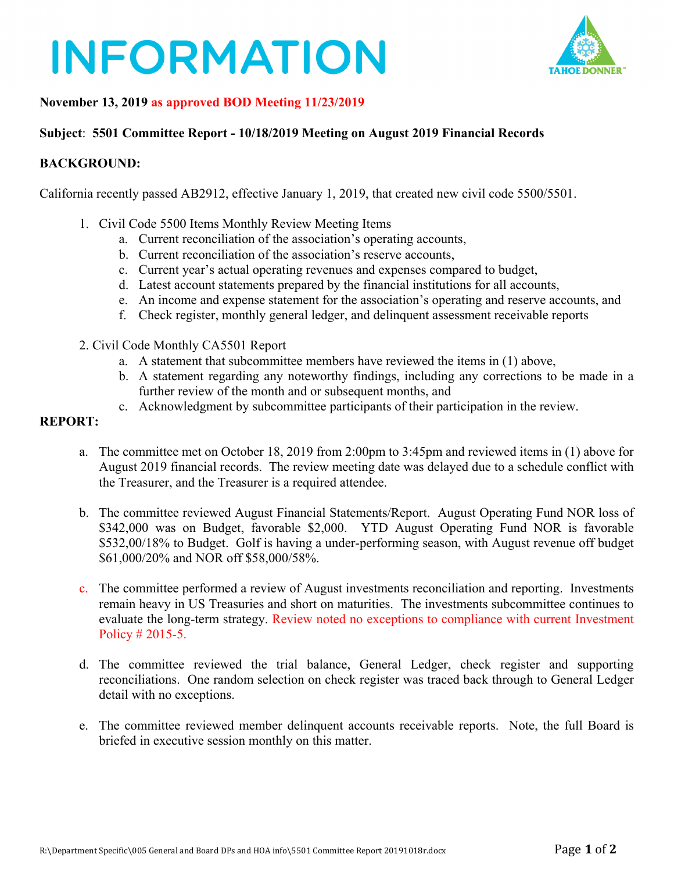# **INFORMATION**



### **November 13, 2019 as approved BOD Meeting 11/23/2019**

#### **Subject**: **5501 Committee Report - 10/18/2019 Meeting on August 2019 Financial Records**

#### **BACKGROUND:**

California recently passed AB2912, effective January 1, 2019, that created new civil code 5500/5501.

- 1. Civil Code 5500 Items Monthly Review Meeting Items
	- a. Current reconciliation of the association's operating accounts,
	- b. Current reconciliation of the association's reserve accounts,
	- c. Current year's actual operating revenues and expenses compared to budget,
	- d. Latest account statements prepared by the financial institutions for all accounts,
	- e. An income and expense statement for the association's operating and reserve accounts, and
	- f. Check register, monthly general ledger, and delinquent assessment receivable reports
- 2. Civil Code Monthly CA5501 Report
	- a. A statement that subcommittee members have reviewed the items in (1) above,
	- b. A statement regarding any noteworthy findings, including any corrections to be made in a further review of the month and or subsequent months, and
	- c. Acknowledgment by subcommittee participants of their participation in the review.

#### **REPORT:**

- a. The committee met on October 18, 2019 from 2:00pm to 3:45pm and reviewed items in (1) above for August 2019 financial records. The review meeting date was delayed due to a schedule conflict with the Treasurer, and the Treasurer is a required attendee.
- b. The committee reviewed August Financial Statements/Report. August Operating Fund NOR loss of \$342,000 was on Budget, favorable \$2,000. YTD August Operating Fund NOR is favorable \$532,00/18% to Budget. Golf is having a under-performing season, with August revenue off budget \$61,000/20% and NOR off \$58,000/58%.
- c. The committee performed a review of August investments reconciliation and reporting. Investments remain heavy in US Treasuries and short on maturities. The investments subcommittee continues to evaluate the long-term strategy. Review noted no exceptions to compliance with current Investment Policy # 2015-5.
- d. The committee reviewed the trial balance, General Ledger, check register and supporting reconciliations. One random selection on check register was traced back through to General Ledger detail with no exceptions.
- e. The committee reviewed member delinquent accounts receivable reports. Note, the full Board is briefed in executive session monthly on this matter.